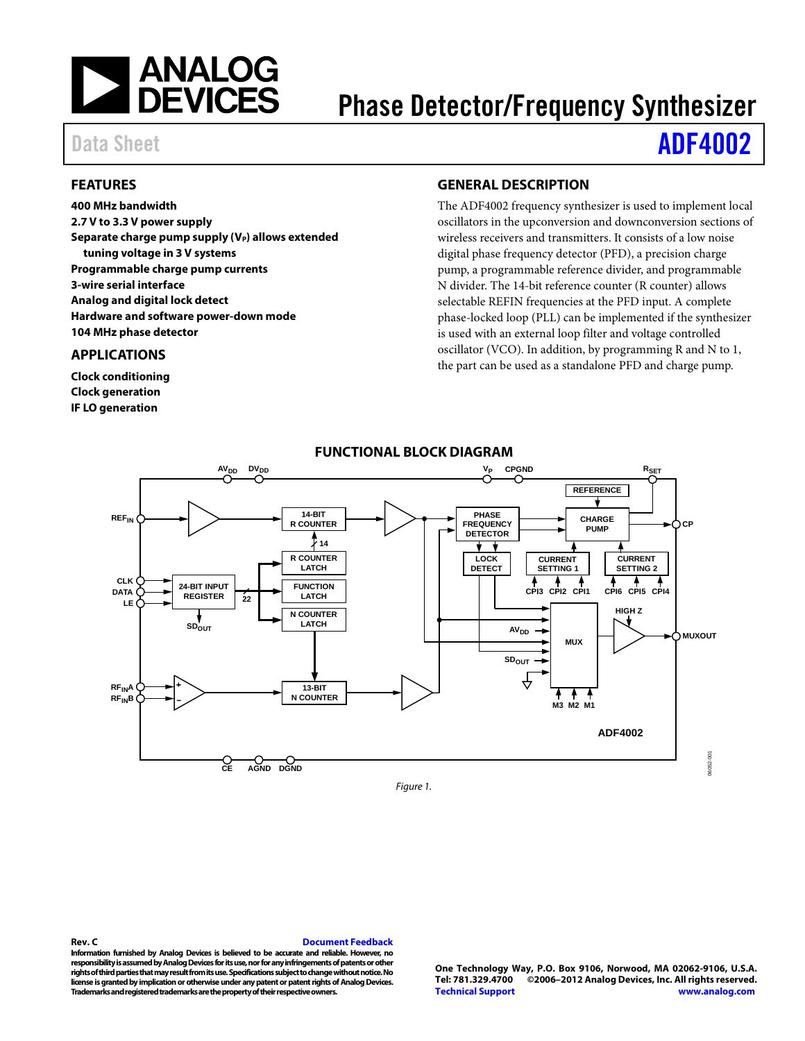

# Phase Detector/Frequency Synthesizer

# Data Sheet **[ADF4002](http://www.analog.com/ADF4002)**

## <span id="page-0-0"></span>**FEATURES**

**400 MHz bandwidth 2.7 V to 3.3 V power supply** Separate charge pump supply (V<sub>P</sub>) allows extended **tuning voltage in 3 V systems Programmable charge pump currents 3-wire serial interface Analog and digital lock detect Hardware and software power-down mode 104 MHz phase detector**

### <span id="page-0-1"></span>**APPLICATIONS**

**Clock conditioning Clock generation IF LO generation**

## <span id="page-0-2"></span>**GENERAL DESCRIPTION**

The ADF4002 frequency synthesizer is used to implement local oscillators in the upconversion and downconversion sections of wireless receivers and transmitters. It consists of a low noise digital phase frequency detector (PFD), a precision charge pump, a programmable reference divider, and programmable N divider. The 14-bit reference counter (R counter) allows selectable REFIN frequencies at the PFD input. A complete phase-locked loop (PLL) can be implemented if the synthesizer is used with an external loop filter and voltage controlled oscillator (VCO). In addition, by programming R and N to 1, the part can be used as a standalone PFD and charge pump.

<span id="page-0-3"></span>

**FUNCTIONAL BLOCK DIAGRAM**

*Figure 1.*

#### **Rev. C [Document Feedback](https://form.analog.com/Form_Pages/feedback/documentfeedback.aspx?doc=ADF4002.pdf&product=ADF4002&rev=C)**

**Information furnished by Analog Devices is believed to be accurate and reliable. However, no responsibility is assumed by Analog Devices for its use, nor for any infringements of patents or other rights of third parties that may result from its use. Specifications subject to change without notice. No license is granted by implication or otherwise under any patent or patent rights of Analog Devices. Trademarks and registered trademarks are the property of their respective owners.**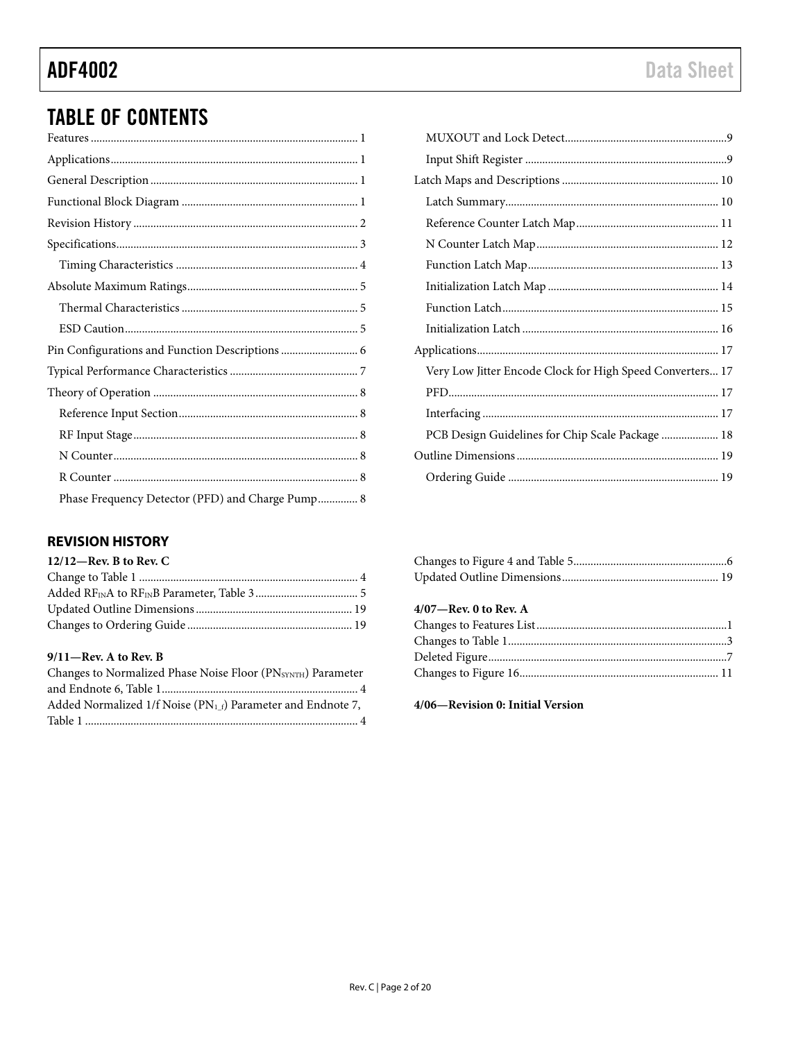# **TABLE OF CONTENTS**

| Pin Configurations and Function Descriptions  6  |
|--------------------------------------------------|
|                                                  |
|                                                  |
|                                                  |
|                                                  |
|                                                  |
|                                                  |
| Phase Frequency Detector (PFD) and Charge Pump 8 |

# <span id="page-1-0"></span>**REVISION HISTORY**

| $12/12$ —Rev. B to Rev. C |  |
|---------------------------|--|
|                           |  |
|                           |  |
|                           |  |
|                           |  |

#### $9/11$ -Rev. A to Rev. B

| Changes to Normalized Phase Noise Floor (PNSYNTH) Parameter       |
|-------------------------------------------------------------------|
|                                                                   |
| Added Normalized 1/f Noise ( $PN_{1}$ f) Parameter and Endnote 7, |
|                                                                   |

| Very Low Jitter Encode Clock for High Speed Converters 17 |
|-----------------------------------------------------------|
|                                                           |
|                                                           |
| PCB Design Guidelines for Chip Scale Package  18          |
|                                                           |
|                                                           |

## $4/07$ —Rev. 0 to Rev. A

4/06-Revision 0: Initial Version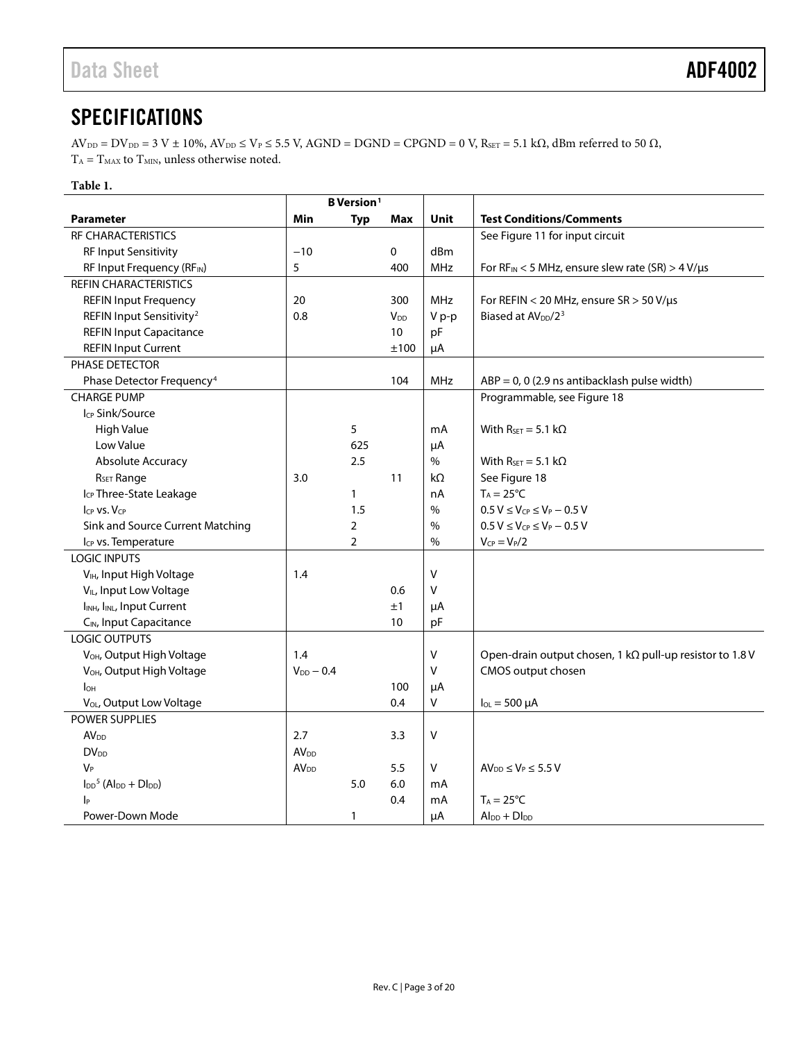# <span id="page-2-0"></span>**SPECIFICATIONS**

 $AV_{\text{DD}} = DV_{\text{DD}} = 3 \text{ V} \pm 10\%, AV_{\text{DD}} \leq V_{\text{P}} \leq 5.5 \text{ V}$ , AGND = DGND = CPGND = 0 V, R<sub>SET</sub> = 5.1 kΩ, dBm referred to 50 Ω,  $T_{\rm A}=T_{\rm MAX}$  to  $T_{\rm MIN}$  unless otherwise noted.

## **Table 1.**

|                                                              | <b>B</b> Version <sup>1</sup> |                |                        |             |                                                                  |
|--------------------------------------------------------------|-------------------------------|----------------|------------------------|-------------|------------------------------------------------------------------|
| <b>Parameter</b>                                             | Min                           | <b>Typ</b>     | <b>Max</b>             | <b>Unit</b> | <b>Test Conditions/Comments</b>                                  |
| RF CHARACTERISTICS                                           |                               |                |                        |             | See Figure 11 for input circuit                                  |
| <b>RF Input Sensitivity</b>                                  | $-10$                         |                | $\mathbf 0$            | dBm         |                                                                  |
| RF Input Frequency (RFIN)                                    | 5                             |                | 400                    | <b>MHz</b>  | For $RF_{IN}$ < 5 MHz, ensure slew rate (SR) > 4 V/µs            |
| <b>REFIN CHARACTERISTICS</b>                                 |                               |                |                        |             |                                                                  |
| <b>REFIN Input Frequency</b>                                 | 20                            |                | 300                    | <b>MHz</b>  | For REFIN < 20 MHz, ensure $SR > 50 V/\mu s$                     |
| REFIN Input Sensitivity <sup>2</sup>                         | 0.8                           |                | <b>V</b> <sub>DD</sub> | V p-p       | Biased at AV <sub>DD</sub> /2 <sup>3</sup>                       |
| <b>REFIN Input Capacitance</b>                               |                               |                | 10                     | pF          |                                                                  |
| <b>REFIN Input Current</b>                                   |                               |                | $\pm 100$              | μA          |                                                                  |
| PHASE DETECTOR                                               |                               |                |                        |             |                                                                  |
| Phase Detector Frequency <sup>4</sup>                        |                               |                | 104                    | MHz         | $ABP = 0$ , 0 (2.9 ns antibacklash pulse width)                  |
| <b>CHARGE PUMP</b>                                           |                               |                |                        |             | Programmable, see Figure 18                                      |
| Icp Sink/Source                                              |                               |                |                        |             |                                                                  |
| <b>High Value</b>                                            |                               | 5              |                        | mA          | With $R_{\text{SET}} = 5.1 \text{ k}\Omega$                      |
| Low Value                                                    |                               | 625            |                        | μA          |                                                                  |
| Absolute Accuracy                                            |                               | 2.5            |                        | $\%$        | With $R_{\text{SET}} = 5.1 \text{ k}\Omega$                      |
| R <sub>SET</sub> Range                                       | 3.0                           |                | 11                     | $k\Omega$   | See Figure 18                                                    |
| Icp Three-State Leakage                                      |                               | $\mathbf{1}$   |                        | nA          | $T_A = 25^{\circ}C$                                              |
| $I_{CP}$ vs. $V_{CP}$                                        |                               | 1.5            |                        | %           | $0.5 V \le V_{CP} \le V_P - 0.5 V$                               |
| Sink and Source Current Matching                             |                               | $\overline{2}$ |                        | $\%$        | $0.5 V \leq V_{CP} \leq V_P - 0.5 V$                             |
| Icp vs. Temperature                                          |                               | $\overline{2}$ |                        | $\%$        | $V_{CP} = V_P/2$                                                 |
| <b>LOGIC INPUTS</b>                                          |                               |                |                        |             |                                                                  |
| V <sub>IH</sub> , Input High Voltage                         | 1.4                           |                |                        | $\vee$      |                                                                  |
| V <sub>IL</sub> , Input Low Voltage                          |                               |                | 0.6                    | V           |                                                                  |
| I <sub>INH</sub> , I <sub>INL</sub> , Input Current          |                               |                | ±1                     | μA          |                                                                  |
| C <sub>IN</sub> , Input Capacitance                          |                               |                | 10                     | pF          |                                                                  |
| <b>LOGIC OUTPUTS</b>                                         |                               |                |                        |             |                                                                  |
| V <sub>OH</sub> , Output High Voltage                        | 1.4                           |                |                        | v           | Open-drain output chosen, 1 k $\Omega$ pull-up resistor to 1.8 V |
| V <sub>OH</sub> , Output High Voltage                        | $V_{DD} - 0.4$                |                |                        | $\vee$      | CMOS output chosen                                               |
| I <sub>OH</sub>                                              |                               |                | 100                    | μA          |                                                                  |
| V <sub>OL</sub> , Output Low Voltage                         |                               |                | 0.4                    | V           | $I_{OL} = 500 \mu A$                                             |
| POWER SUPPLIES                                               |                               |                |                        |             |                                                                  |
| <b>AV<sub>DD</sub></b>                                       | 2.7                           |                | 3.3                    | V           |                                                                  |
| $DV_{DD}$                                                    | AV <sub>DD</sub>              |                |                        |             |                                                                  |
| VP                                                           | <b>AV</b> <sub>DD</sub>       |                | 5.5                    | V           | $AV_{DD} \leq V_P \leq 5.5 V$                                    |
| $I_{DD}$ <sup>5</sup> (Al <sub>DD</sub> + Dl <sub>DD</sub> ) |                               | 5.0            | 6.0                    | mA          |                                                                  |
| p                                                            |                               |                | 0.4                    | mA          | $T_A = 25^{\circ}C$                                              |
| Power-Down Mode                                              |                               | $\mathbf{1}$   |                        | μA          | $Al_{DD} + DI_{DD}$                                              |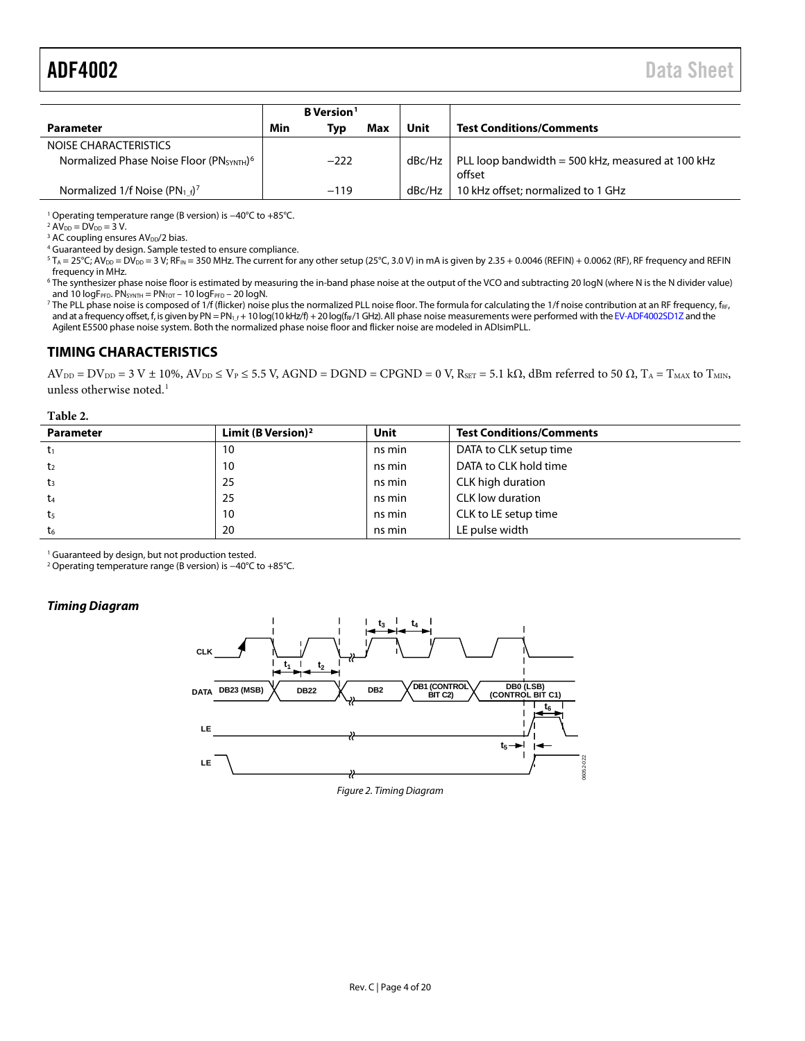<span id="page-3-1"></span>

|                                                                  | B Version <sup>1</sup> |        |     |          |                                                             |
|------------------------------------------------------------------|------------------------|--------|-----|----------|-------------------------------------------------------------|
| <b>Parameter</b>                                                 | Min                    | Typ    | Max | Unit     | <b>Test Conditions/Comments</b>                             |
| NOISE CHARACTERISTICS                                            |                        |        |     |          |                                                             |
| Normalized Phase Noise Floor (PN <sub>SYNTH</sub> ) <sup>6</sup> |                        | $-222$ |     | dBc/Hz l | PLL loop bandwidth = 500 kHz, measured at 100 kHz<br>offset |
| Normalized 1/f Noise (PN <sub>1f</sub> ) <sup>7</sup>            |                        | $-119$ |     | dBc/Hz   | 10 kHz offset; normalized to 1 GHz                          |

<sup>1</sup> Operating temperature range (B version) is -40°C to +85°C.

 $^{2}$  AV<sub>DD</sub> = DV<sub>DD</sub> = 3 V.

 $3$  AC coupling ensures AV<sub>DD</sub>/2 bias.

<sup>4</sup> Guaranteed by design. Sample tested to ensure compliance.

 $5 T_A = 25^\circ C$ ; AV<sub>DD</sub> = DV<sub>DD</sub> = 3 V; RF<sub>IN</sub> = 350 MHz. The current for any other setup (25°C, 3.0 V) in mA is given by 2.35 + 0.0046 (REFIN) + 0.0062 (RF), RF frequency and REFIN frequency in MHz.

<sup>6</sup> The synthesizer phase noise floor is estimated by measuring the in-band phase noise at the output of the VCO and subtracting 20 logN (where N is the N divider value) and 10  $logF$ PFD. PN<sub>SYNTH</sub> =  $PN$ <sub>TOT</sub> - 10  $logF$ PFD - 20  $logN$ .

<sup>7</sup> The PLL phase noise is composed of 1/f (flicker) noise plus the normalized PLL noise floor. The formula for calculating the 1/f noise contribution at an RF frequency, f<sub>RF</sub>, and at a frequency offset, f, is given by PN = PN<sub>1</sub> + 10 log(10 kHz/f) + 20 log(f<sub>RF</sub>/1 GHz). All phase noise measurements were performed with th[e EV-ADF4002SD1Z](http://www.analog.com/adf4002) and the Agilent E5500 phase noise system. Both the normalized phase noise floor and flicker noise are modeled in ADIsimPLL.

## <span id="page-3-0"></span>**TIMING CHARACTERISTICS**

 $AV_{DD} = DV_{DD} = 3 V \pm 10\%, AV_{DD} \le V_P \le 5.5 V$ , AGND = DGND = CPGND = 0 V, R<sub>SET</sub> = 5.1 kΩ, dBm referred to 50  $\Omega$ , T<sub>A</sub> = T<sub>MAX</sub> to T<sub>MIN</sub>, unless otherwise noted.<sup>1</sup>

#### **Table 2.**

| <b>Parameter</b> | Limit (B Version) <sup>2</sup> | Unit   | <b>Test Conditions/Comments</b> |
|------------------|--------------------------------|--------|---------------------------------|
| $t_1$            | 10                             | ns min | DATA to CLK setup time          |
| t <sub>2</sub>   | 10                             | ns min | DATA to CLK hold time           |
| $t_3$            | 25                             | ns min | CLK high duration               |
| t <sub>4</sub>   | 25                             | ns min | CLK low duration                |
| t <sub>5</sub>   | 10                             | ns min | CLK to LE setup time            |
| t <sub>6</sub>   | 20                             | ns min | LE pulse width                  |

<sup>1</sup> Guaranteed by design, but not production tested.

<sup>2</sup> Operating temperature range (B version) is −40°C to +85°C.

#### <span id="page-3-2"></span>*Timing Diagram*



*Figure 2. Timing Diagram*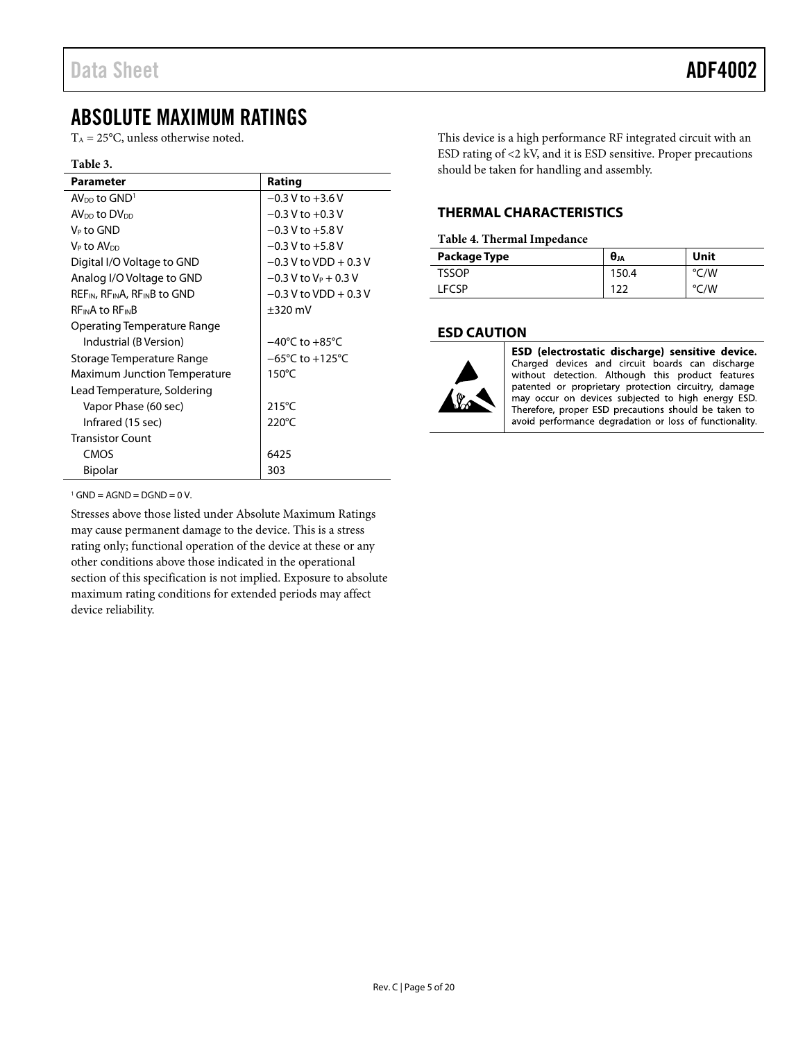# <span id="page-4-0"></span>ABSOLUTE MAXIMUM RATINGS

 $T_A = 25$ °C, unless otherwise noted.

#### **Table 3.**

| <b>Parameter</b>                                                  | Rating                               |
|-------------------------------------------------------------------|--------------------------------------|
| $AV_{DD}$ to $GND1$                                               | $-0.3$ V to $+3.6$ V                 |
| AV <sub>DD</sub> to DV <sub>DD</sub>                              | $-0.3$ V to $+0.3$ V                 |
| V⊳ to GND                                                         | $-0.3$ V to $+5.8$ V                 |
| V⊳ to AV <sub>DD</sub>                                            | $-0.3$ V to $+5.8$ V                 |
| Digital I/O Voltage to GND                                        | $-0.3$ V to VDD + 0.3 V              |
| Analog I/O Voltage to GND                                         | $-0.3$ V to V <sub>P</sub> + 0.3 V   |
| REF <sub>IN</sub> , RF <sub>IN</sub> A, RF <sub>IN</sub> B to GND | $-0.3$ V to VDD + 0.3 V              |
| <b>REINA to REINB</b>                                             | $\pm 320$ mV                         |
| Operating Temperature Range                                       |                                      |
| Industrial (B Version)                                            | $-40^{\circ}$ C to $+85^{\circ}$ C   |
| Storage Temperature Range                                         | $-65^{\circ}$ C to +125 $^{\circ}$ C |
| <b>Maximum Junction Temperature</b>                               | $150^{\circ}$ C                      |
| Lead Temperature, Soldering                                       |                                      |
| Vapor Phase (60 sec)                                              | $215^{\circ}$ C                      |
| Infrared (15 sec)                                                 | $220^{\circ}$ C                      |
| <b>Transistor Count</b>                                           |                                      |
| CMOS                                                              | 6425                                 |
| <b>Bipolar</b>                                                    | 303                                  |

This device is a high performance RF integrated circuit with an ESD rating of <2 kV, and it is ESD sensitive. Proper precautions should be taken for handling and assembly.

# <span id="page-4-1"></span>**THERMAL CHARACTERISTICS**

#### **Table 4. Thermal Impedance**

| Package Type | $\boldsymbol{\theta}_{JA}$ | Unit          |
|--------------|----------------------------|---------------|
| <b>TSSOP</b> | 150.4                      | °C/W          |
| <b>ECSP</b>  |                            | ۷W.<br>$\sim$ |

## <span id="page-4-2"></span>**ESD CAUTION**



ESD (electrostatic discharge) sensitive device. Charged devices and circuit boards can discharge without detection. Although this product features patented or proprietary protection circuitry, damage may occur on devices subjected to high energy ESD. Therefore, proper ESD precautions should be taken to avoid performance degradation or loss of functionality.

 $1$  GND = AGND = DGND = 0 V.

Stresses above those listed under Absolute Maximum Ratings may cause permanent damage to the device. This is a stress rating only; functional operation of the device at these or any other conditions above those indicated in the operational section of this specification is not implied. Exposure to absolute maximum rating conditions for extended periods may affect device reliability.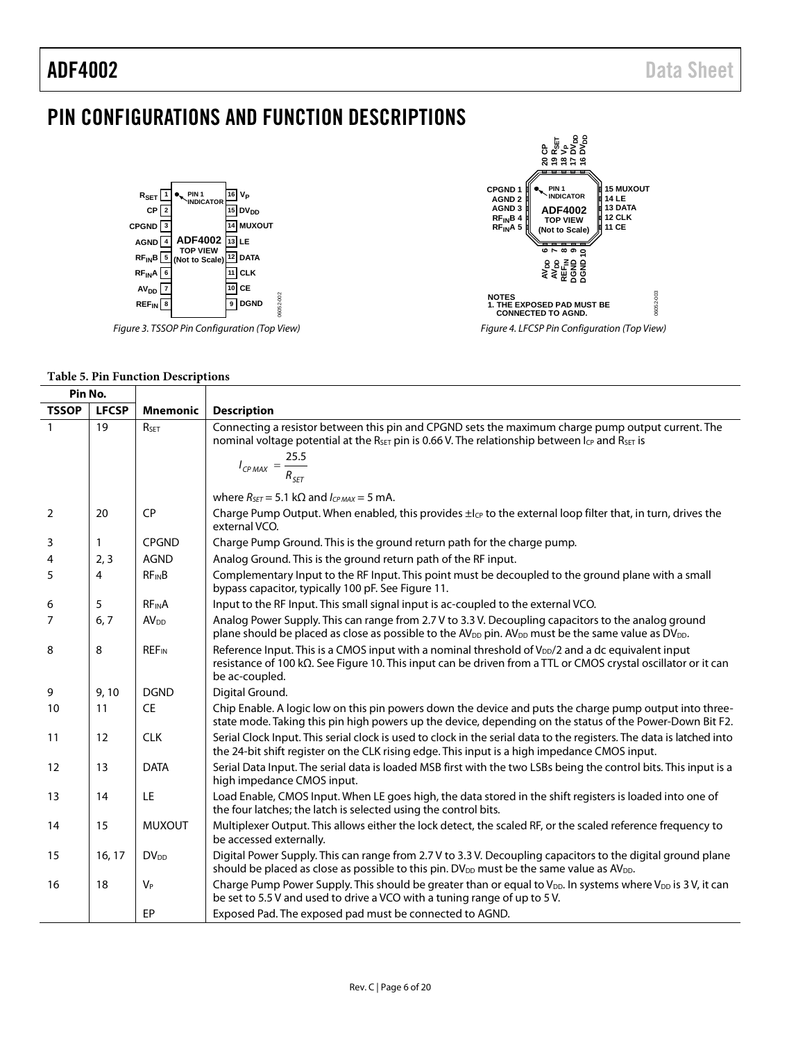# <span id="page-5-0"></span>PIN CONFIGURATIONS AND FUNCTION DESCRIPTIONS



*Figure 3. TSSOP Pin Configuration (Top View)*



#### **Table 5. Pin Function Descriptions**

| Pin No.        |              |                         |                                                                                                                                                                                                                                                                               |
|----------------|--------------|-------------------------|-------------------------------------------------------------------------------------------------------------------------------------------------------------------------------------------------------------------------------------------------------------------------------|
| <b>TSSOP</b>   | <b>LFCSP</b> | <b>Mnemonic</b>         | <b>Description</b>                                                                                                                                                                                                                                                            |
| $\mathbf{1}$   | 19           | RSET                    | Connecting a resistor between this pin and CPGND sets the maximum charge pump output current. The<br>nominal voltage potential at the R <sub>SET</sub> pin is 0.66 V. The relationship between I <sub>CP</sub> and R <sub>SET</sub> is<br>$I_{CP MAX} = \frac{25.5}{R_{SET}}$ |
|                |              |                         | where $R_{\text{SFT}} = 5.1 \text{ k}\Omega$ and $I_{CPMAX} = 5 \text{ mA}$ .                                                                                                                                                                                                 |
| $\overline{2}$ | 20           | CP                      | Charge Pump Output. When enabled, this provides ±lc <sub>p</sub> to the external loop filter that, in turn, drives the<br>external VCO.                                                                                                                                       |
| 3              | 1            | <b>CPGND</b>            | Charge Pump Ground. This is the ground return path for the charge pump.                                                                                                                                                                                                       |
| 4              | 2, 3         | <b>AGND</b>             | Analog Ground. This is the ground return path of the RF input.                                                                                                                                                                                                                |
| 5              | 4            | $RF_{IN}B$              | Complementary Input to the RF Input. This point must be decoupled to the ground plane with a small<br>bypass capacitor, typically 100 pF. See Figure 11.                                                                                                                      |
| 6              | 5            | <b>RFINA</b>            | Input to the RF Input. This small signal input is ac-coupled to the external VCO.                                                                                                                                                                                             |
| 7              | 6, 7         | AV <sub>DD</sub>        | Analog Power Supply. This can range from 2.7 V to 3.3 V. Decoupling capacitors to the analog ground<br>plane should be placed as close as possible to the AV <sub>DD</sub> pin. AV <sub>DD</sub> must be the same value as DV <sub>DD</sub> .                                 |
| 8              | 8            | <b>REF<sub>IN</sub></b> | Reference Input. This is a CMOS input with a nominal threshold of V <sub>DD</sub> /2 and a dc equivalent input<br>resistance of 100 kΩ. See Figure 10. This input can be driven from a TTL or CMOS crystal oscillator or it can<br>be ac-coupled.                             |
| 9              | 9,10         | <b>DGND</b>             | Digital Ground.                                                                                                                                                                                                                                                               |
| 10             | 11           | <b>CE</b>               | Chip Enable. A logic low on this pin powers down the device and puts the charge pump output into three-<br>state mode. Taking this pin high powers up the device, depending on the status of the Power-Down Bit F2.                                                           |
| 11             | 12           | <b>CLK</b>              | Serial Clock Input. This serial clock is used to clock in the serial data to the registers. The data is latched into<br>the 24-bit shift register on the CLK rising edge. This input is a high impedance CMOS input.                                                          |
| 12             | 13           | <b>DATA</b>             | Serial Data Input. The serial data is loaded MSB first with the two LSBs being the control bits. This input is a<br>high impedance CMOS input.                                                                                                                                |
| 13             | 14           | LE                      | Load Enable, CMOS Input. When LE goes high, the data stored in the shift registers is loaded into one of<br>the four latches; the latch is selected using the control bits.                                                                                                   |
| 14             | 15           | <b>MUXOUT</b>           | Multiplexer Output. This allows either the lock detect, the scaled RF, or the scaled reference frequency to<br>be accessed externally.                                                                                                                                        |
| 15             | 16, 17       | <b>DV<sub>DD</sub></b>  | Digital Power Supply. This can range from 2.7 V to 3.3 V. Decoupling capacitors to the digital ground plane<br>should be placed as close as possible to this pin. DV <sub>DD</sub> must be the same value as AV <sub>DD</sub> .                                               |
| 16             | 18           | $V_P$                   | Charge Pump Power Supply. This should be greater than or equal to V <sub>DD</sub> . In systems where V <sub>DD</sub> is 3 V, it can<br>be set to 5.5 V and used to drive a VCO with a tuning range of up to 5 V.                                                              |
|                |              | EP                      | Exposed Pad. The exposed pad must be connected to AGND.                                                                                                                                                                                                                       |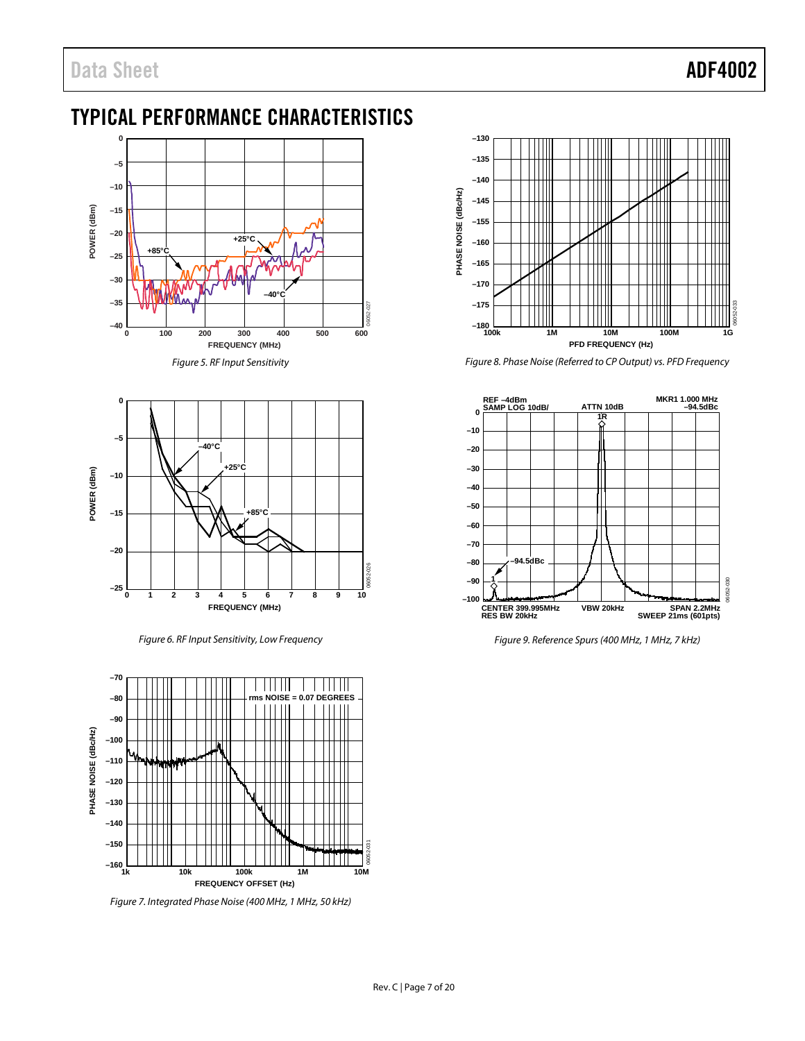# <span id="page-6-0"></span>TYPICAL PERFORMANCE CHARACTERISTICS



*Figure 5. RF Input Sensitivity*



*Figure 6. RF Input Sensitivity, Low Frequency*



*Figure 7. Integrated Phase Noise (400 MHz, 1 MHz, 50 kHz)*



*Figure 8. Phase Noise (Referred to CP Output) vs. PFD Frequency*



*Figure 9. Reference Spurs (400 MHz, 1 MHz, 7 kHz)*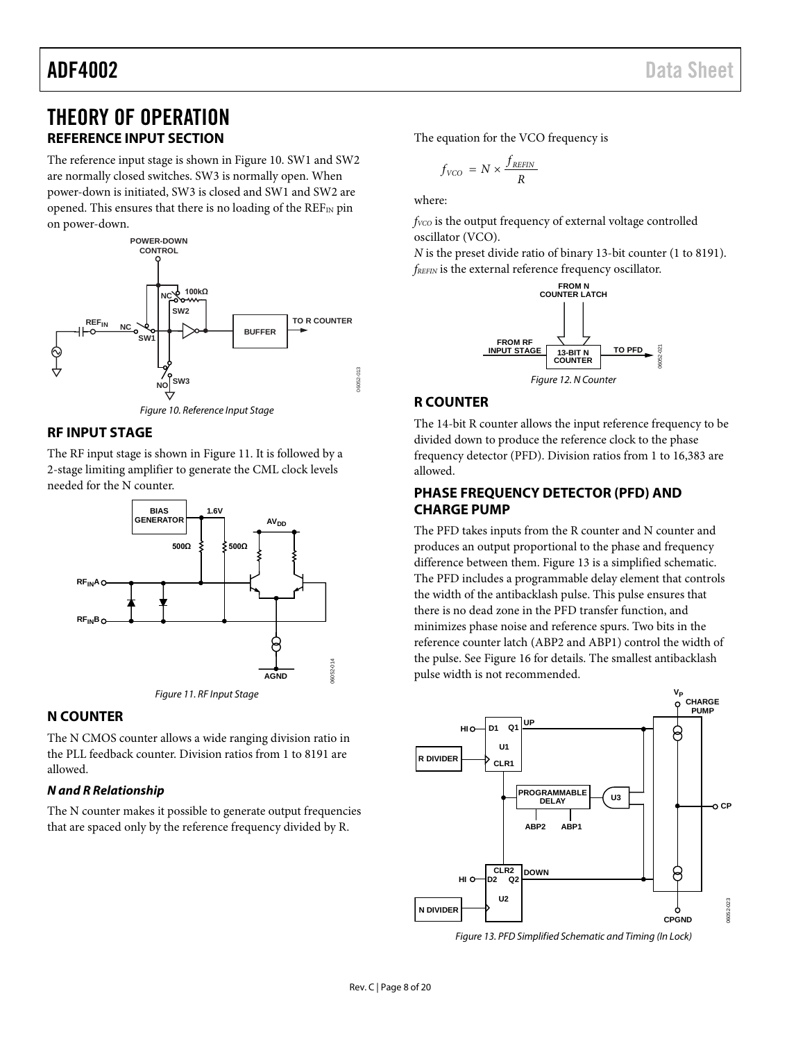# <span id="page-7-0"></span>THEORY OF OPERATION **REFERENCE INPUT SECTION**

<span id="page-7-1"></span>The reference input stage is shown i[n Figure 10.](#page-7-7) SW1 and SW2 are normally closed switches. SW3 is normally open. When power-down is initiated, SW3 is closed and SW1 and SW2 are opened. This ensures that there is no loading of the REFIN pin on power-down.



*Figure 10. Reference Input Stage*

# <span id="page-7-7"></span><span id="page-7-2"></span>**RF INPUT STAGE**

The RF input stage is shown in [Figure 11.](#page-7-6) It is followed by a 2-stage limiting amplifier to generate the CML clock levels needed for the N counter.



## <span id="page-7-6"></span><span id="page-7-3"></span>**N COUNTER**

The N CMOS counter allows a wide ranging division ratio in the PLL feedback counter. Division ratios from 1 to 8191 are allowed.

## *N and R Relationship*

The N counter makes it possible to generate output frequencies that are spaced only by the reference frequency divided by R.

The equation for the VCO frequency is

$$
f_{VCO} = N \times \frac{f_{REFIN}}{R}
$$

where:

*fvco* is the output frequency of external voltage controlled oscillator (VCO).

*N* is the preset divide ratio of binary 13-bit counter (1 to 8191). *fREFIN* is the external reference frequency oscillator.



# <span id="page-7-4"></span>**R COUNTER**

The 14-bit R counter allows the input reference frequency to be divided down to produce the reference clock to the phase frequency detector (PFD). Division ratios from 1 to 16,383 are allowed.

## <span id="page-7-5"></span>**PHASE FREQUENCY DETECTOR (PFD) AND CHARGE PUMP**

The PFD takes inputs from the R counter and N counter and produces an output proportional to the phase and frequency difference between them. [Figure 13](#page-7-8) is a simplified schematic. The PFD includes a programmable delay element that controls the width of the antibacklash pulse. This pulse ensures that there is no dead zone in the PFD transfer function, and minimizes phase noise and reference spurs. Two bits in the reference counter latch (ABP2 and ABP1) control the width of the pulse. Se[e Figure 16](#page-10-1) for details. The smallest antibacklash pulse width is not recommended.



<span id="page-7-8"></span>*Figure 13. PFD Simplified Schematic and Timing (In Lock)*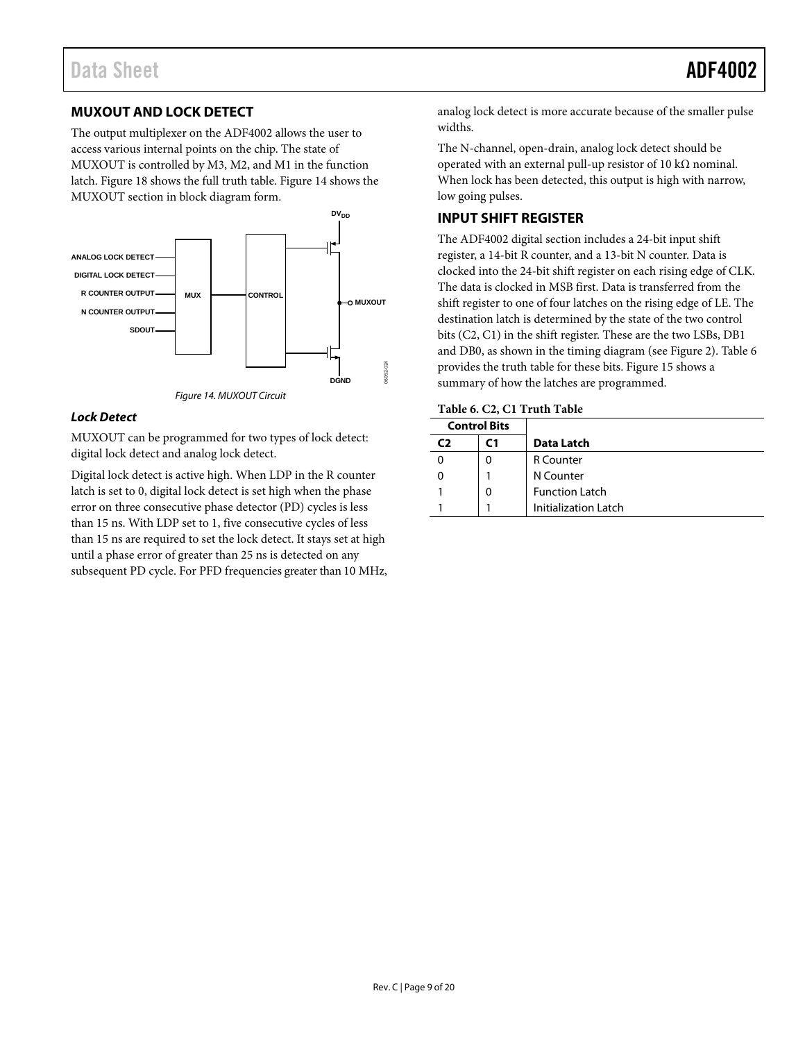# <span id="page-8-0"></span>**MUXOUT AND LOCK DETECT**

The output multiplexer on the ADF4002 allows the user to access various internal points on the chip. The state of MUXOUT is controlled by M3, M2, and M1 in the function latch[. Figure 18](#page-12-1) shows the full truth table. [Figure 14](#page-8-2) shows the MUXOUT section in block diagram form.



*Figure 14. MUXOUT Circuit* 

#### <span id="page-8-2"></span>*Lock Detect*

MUXOUT can be programmed for two types of lock detect: digital lock detect and analog lock detect.

Digital lock detect is active high. When LDP in the R counter latch is set to 0, digital lock detect is set high when the phase error on three consecutive phase detector (PD) cycles is less than 15 ns. With LDP set to 1, five consecutive cycles of less than 15 ns are required to set the lock detect. It stays set at high until a phase error of greater than 25 ns is detected on any subsequent PD cycle. For PFD frequencies greater than 10 MHz, analog lock detect is more accurate because of the smaller pulse widths.

The N-channel, open-drain, analog lock detect should be operated with an external pull-up resistor of 10 kΩ nominal. When lock has been detected, this output is high with narrow, low going pulses.

# <span id="page-8-1"></span>**INPUT SHIFT REGISTER**

The ADF4002 digital section includes a 24-bit input shift register, a 14-bit R counter, and a 13-bit N counter. Data is clocked into the 24-bit shift register on each rising edge of CLK. The data is clocked in MSB first. Data is transferred from the shift register to one of four latches on the rising edge of LE. The destination latch is determined by the state of the two control bits (C2, C1) in the shift register. These are the two LSBs, DB1 and DB0, as shown in the timing diagram (see [Figure 2\)](#page-3-2). [Table 6](#page-8-3) provides the truth table for these bits[. Figure 15](#page-9-2) shows a summary of how the latches are programmed.

#### <span id="page-8-3"></span>**Table 6. C2, C1 Truth Table**

|    | <b>Control Bits</b> |                             |  |  |  |  |  |  |  |  |
|----|---------------------|-----------------------------|--|--|--|--|--|--|--|--|
| C) | C1                  | Data Latch                  |  |  |  |  |  |  |  |  |
|    | 0                   | <b>R</b> Counter            |  |  |  |  |  |  |  |  |
|    |                     | N Counter                   |  |  |  |  |  |  |  |  |
|    | 0                   | <b>Function Latch</b>       |  |  |  |  |  |  |  |  |
|    |                     | <b>Initialization Latch</b> |  |  |  |  |  |  |  |  |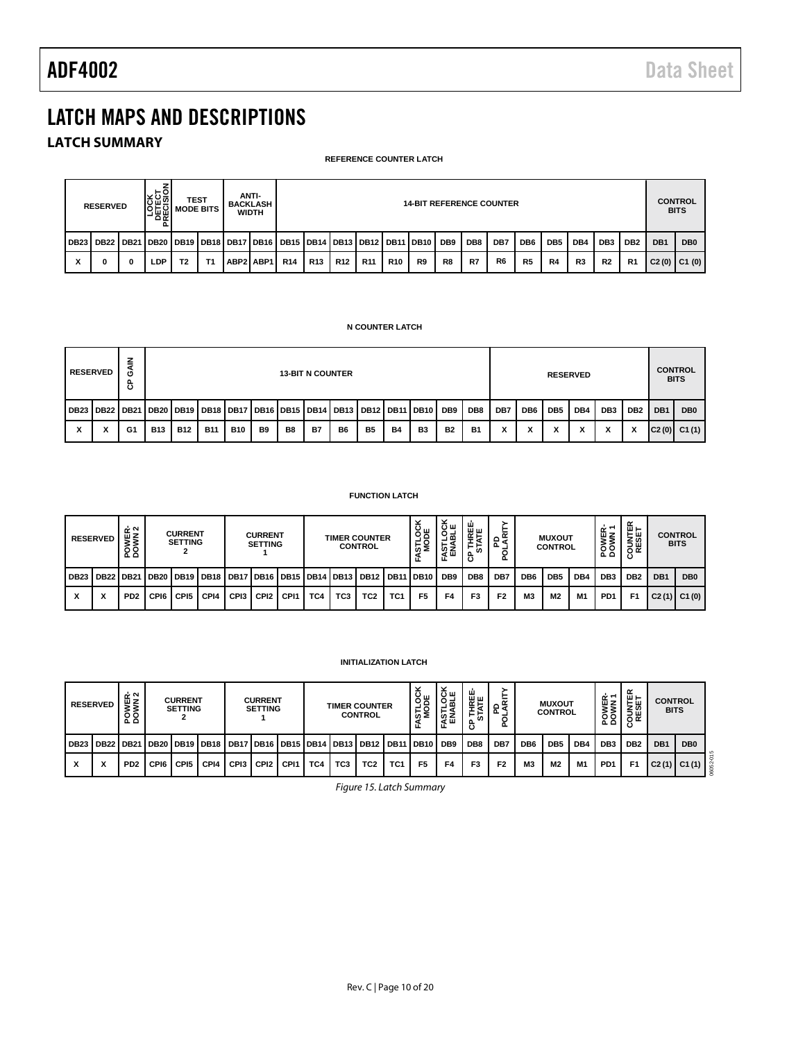# <span id="page-9-0"></span>LATCH MAPS AND DESCRIPTIONS

# <span id="page-9-1"></span>**LATCH SUMMARY**

#### **REFERENCE COUNTER LATCH**

|                               | <b>RESERVED</b>                                                                                         |          | S <u>PO</u><br>이 TEST<br> 기준의 NODE BITS  <br>່ດ ∝ |                |    | ANTI-<br>BACKLASH<br><b>WIDTH</b> | <b>14-BIT REFERENCE COUNTER</b> |                 |                 |            |            |    |    |     |                | <b>CONTROL</b><br><b>BITS</b> |                 |                |                 |                 |                 |                 |
|-------------------------------|---------------------------------------------------------------------------------------------------------|----------|---------------------------------------------------|----------------|----|-----------------------------------|---------------------------------|-----------------|-----------------|------------|------------|----|----|-----|----------------|-------------------------------|-----------------|----------------|-----------------|-----------------|-----------------|-----------------|
|                               | DB23   DB22   DB21   DB20   DB19   DB18   DB17   DB16   DB15   DB14   DB13   DB12   DB11   DB10     DB9 |          |                                                   |                |    |                                   |                                 |                 |                 |            |            |    |    | DB8 | DB7            | DB <sub>6</sub>               | DB <sub>5</sub> | DB4            | DB <sub>3</sub> | DB <sub>2</sub> | DB <sub>1</sub> | DB <sub>0</sub> |
| $\overline{\phantom{a}}$<br>៱ |                                                                                                         | $\bf{0}$ | ∟DP.                                              | T <sub>2</sub> | T1 | ABP2   ABP1                       | <b>R14</b>                      | R <sub>13</sub> | R <sub>12</sub> | <b>R11</b> | <b>R10</b> | R9 | R8 | R7  | R <sub>6</sub> | R <sub>5</sub>                | R4              | R <sub>3</sub> | R <sub>2</sub>  | R <sub>1</sub>  | C2(0) C1(0)     |                 |

#### **N COUNTER LATCH**

|             | <b>RESERVED</b> | z<br>o<br>௳<br>ပ | <b>13-BIT N COUNTER</b> |            |                                                                                                 |            |                |                |           |                |           |           | <b>RESERVED</b> |           |           |     | <b>CONTROL</b><br><b>BITS</b> |                 |     |                 |                 |                 |                 |
|-------------|-----------------|------------------|-------------------------|------------|-------------------------------------------------------------------------------------------------|------------|----------------|----------------|-----------|----------------|-----------|-----------|-----------------|-----------|-----------|-----|-------------------------------|-----------------|-----|-----------------|-----------------|-----------------|-----------------|
| <b>DB23</b> |                 |                  |                         |            | DB22   DB21   DB20   DB19   DB18   DB17   DB16   DB15   DB14   DB13   DB12   DB11   DB10    DB9 |            |                |                |           |                |           |           |                 |           | DB8       | DB7 | DB <sub>6</sub>               | DB <sub>5</sub> | DB4 | DB <sub>3</sub> | DB <sub>2</sub> | DB <sub>1</sub> | DB <sub>0</sub> |
|             |                 | G1               | <b>B13</b>              | <b>B12</b> | <b>B11</b>                                                                                      | <b>B10</b> | B <sub>9</sub> | B <sub>8</sub> | <b>B7</b> | B <sub>6</sub> | <b>B5</b> | <b>B4</b> | B <sub>3</sub>  | <b>B2</b> | <b>B1</b> | х   | x                             | х               | x   |                 | x               |                 | $C2(0)$ $C1(1)$ |

#### **FUNCTION LATCH**

|             | <b>RESERVED</b>           | POWER-<br>DOWN 2            |      | <b>CURRENT</b><br><b>SETTING</b> |                                                                            |      | <b>CURRENT</b><br><b>SETTING</b> |      |     |                 | <b>TIMER COUNTER</b><br><b>CONTROL</b> |                 | 영<br>'∞ ≋      | 'ŏщ<br>공퍽<br>요.<br>전 | ш<br><b>THREE</b><br>STATE<br>α.<br>ω | ᅀᄛ<br>σ.       |                 | <b>MUXOUT</b><br><b>CONTROL</b> |                | œ<br>шZ<br>$\circ$<br>$\Delta$ | ⊞⊢<br><b>SESE</b> |                 | <b>CONTROL</b><br><b>BITS</b> |
|-------------|---------------------------|-----------------------------|------|----------------------------------|----------------------------------------------------------------------------|------|----------------------------------|------|-----|-----------------|----------------------------------------|-----------------|----------------|----------------------|---------------------------------------|----------------|-----------------|---------------------------------|----------------|--------------------------------|-------------------|-----------------|-------------------------------|
| <b>DB23</b> |                           |                             |      |                                  | DB22   DB21   DB20   DB19   DB18   DB17   DB16   DB15   DB14   DB13   DB12 |      |                                  |      |     |                 |                                        | <b>DB11</b>     | I DB10 I DB9   |                      | DB8                                   | DB7            | DB <sub>6</sub> | DB <sub>5</sub>                 | DB4            | DB <sub>3</sub>                | DB <sub>2</sub>   | DB <sub>1</sub> | DB <sub>0</sub>               |
| X           | $\checkmark$<br>$\lambda$ | P <sub>D</sub> <sub>2</sub> | CPI6 | CPI5                             | CPI4                                                                       | CPI3 | CPI <sub>2</sub>                 | CPI1 | TC4 | TC <sub>3</sub> | TC <sub>2</sub>                        | TC <sub>1</sub> | F <sub>5</sub> | F4                   | F <sub>3</sub>                        | F <sub>2</sub> | M <sub>3</sub>  | M <sub>2</sub>                  | M <sub>1</sub> | PD <sub>1</sub>                | F <sub>1</sub>    |                 | $C2(1)$ $C1(0)$               |

#### **INITIALIZATION LATCH**

<span id="page-9-2"></span>

|             | <b>RESERVED</b>               | POWER-<br>DOWN 2            |                  | <b>CURRENT</b><br><b>SETTING</b> |                                                |                  | <b>CURRENT</b><br><b>SETTING</b> |                  |     |                 | <b>TIMER COUNTER</b><br><b>CONTROL</b> |                 | ಂಕ<br>ᆜ<br>ທ ≥<br>٠<br>H. | $rac{1}{2}$<br>ងីឡ | ᇤ<br>≝<br>. 인<br>௨<br>ပ | $\tilde{\phantom{a}}$<br>≴ہ<br>் உ<br>o |                 | <b>MUXOUT</b><br><b>CONTROL</b> |                | ≃∼<br>ωz<br><b>MOA</b> | $w -$<br>⊢ய<br>zω<br>흥股<br>ပ | <b>CONTROL</b><br><b>BITS</b> |                 |
|-------------|-------------------------------|-----------------------------|------------------|----------------------------------|------------------------------------------------|------------------|----------------------------------|------------------|-----|-----------------|----------------------------------------|-----------------|---------------------------|--------------------|-------------------------|-----------------------------------------|-----------------|---------------------------------|----------------|------------------------|------------------------------|-------------------------------|-----------------|
| <b>DB23</b> | <b>DB22</b>                   | <b>DB21</b>                 |                  |                                  | DB20   DB19   DB18   DB17   DB16   DB15   DB14 |                  |                                  |                  |     | IDB13 DB12      |                                        | : I DB1         | l DB10 l                  | DB <sub>9</sub>    | DB8                     | DB7                                     | DB <sub>6</sub> | DB <sub>5</sub>                 | DB4            | DB <sub>3</sub>        | DB <sub>2</sub>              | DB <sub>1</sub>               | DB <sub>0</sub> |
| x           | $\overline{\phantom{a}}$<br>́ | P <sub>D</sub> <sub>2</sub> | CP <sub>16</sub> | CPI <sub>5</sub>                 | CPI4                                           | CP <sub>13</sub> | CPI <sub>2</sub>                 | CP <sub>11</sub> | TC4 | TC <sub>3</sub> | TC <sub>2</sub>                        | TC <sub>1</sub> | F <sub>5</sub>            | F4                 | F3                      | F <sub>2</sub>                          | M3              | M2                              | M <sub>1</sub> | PD <sub>1</sub>        | F <sub>1</sub>               | C2(1)                         | C1(1)           |

*Figure 15. Latch Summary*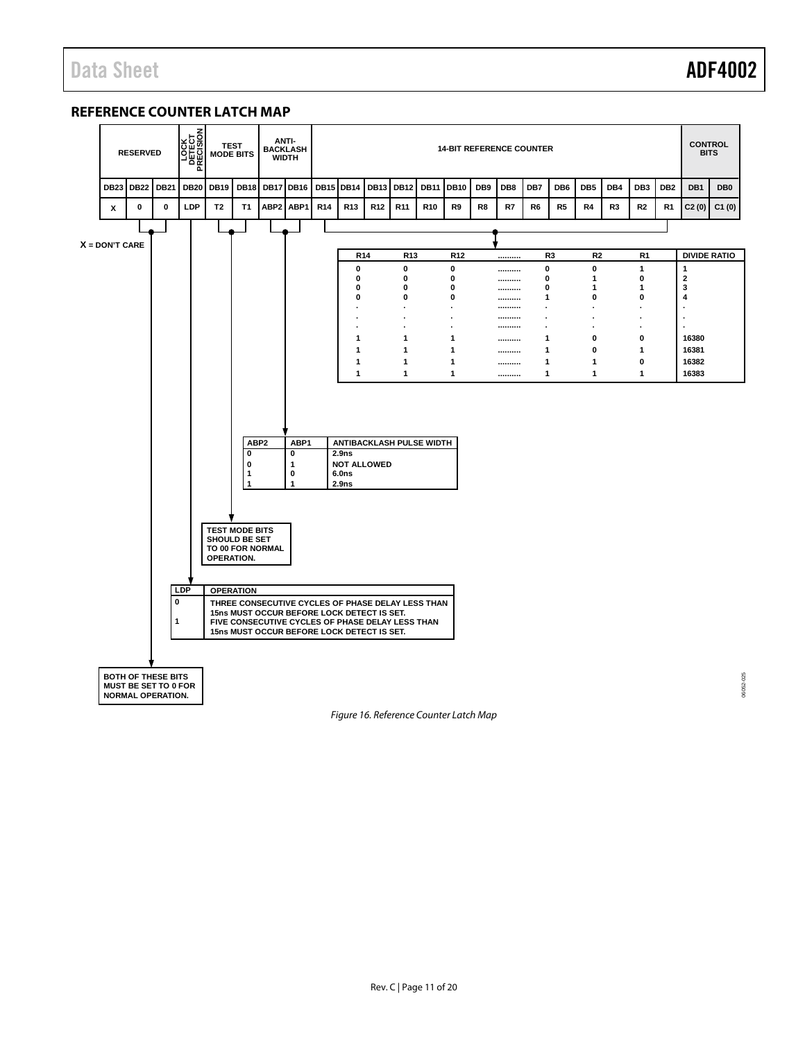## <span id="page-10-0"></span>**REFERENCE COUNTER LATCH MAP**



<span id="page-10-1"></span>*Figure 16. Reference Counter Latch Map*

06052-025 06052-025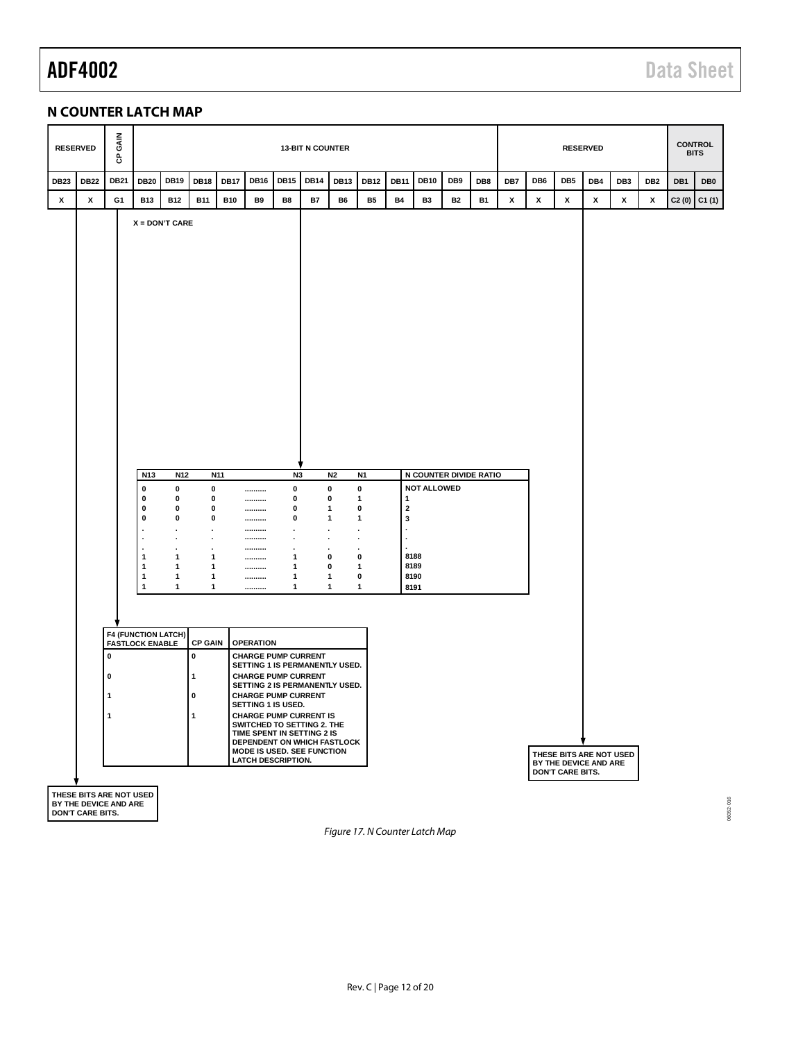# <span id="page-11-0"></span>**N COUNTER LATCH MAP**

*Figure 17. N Counter Latch Map*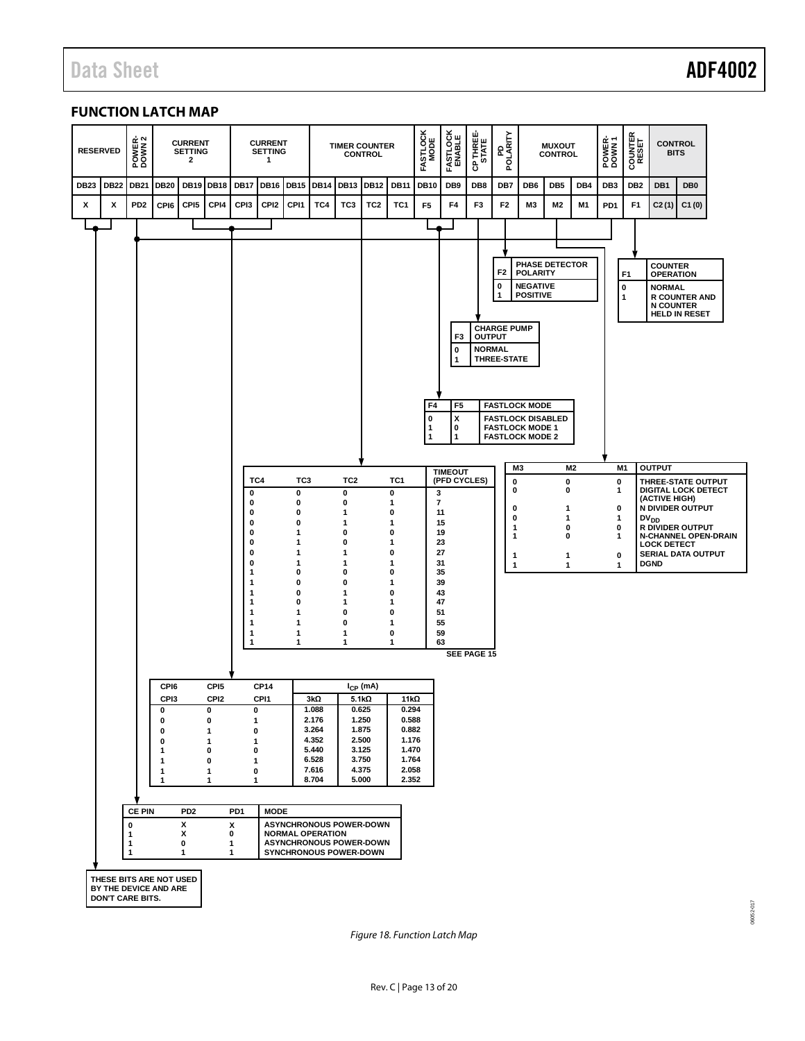06052-017

16052-017

# <span id="page-12-0"></span>**FUNCTION LATCH MAP**



<span id="page-12-1"></span>*Figure 18. Function Latch Map*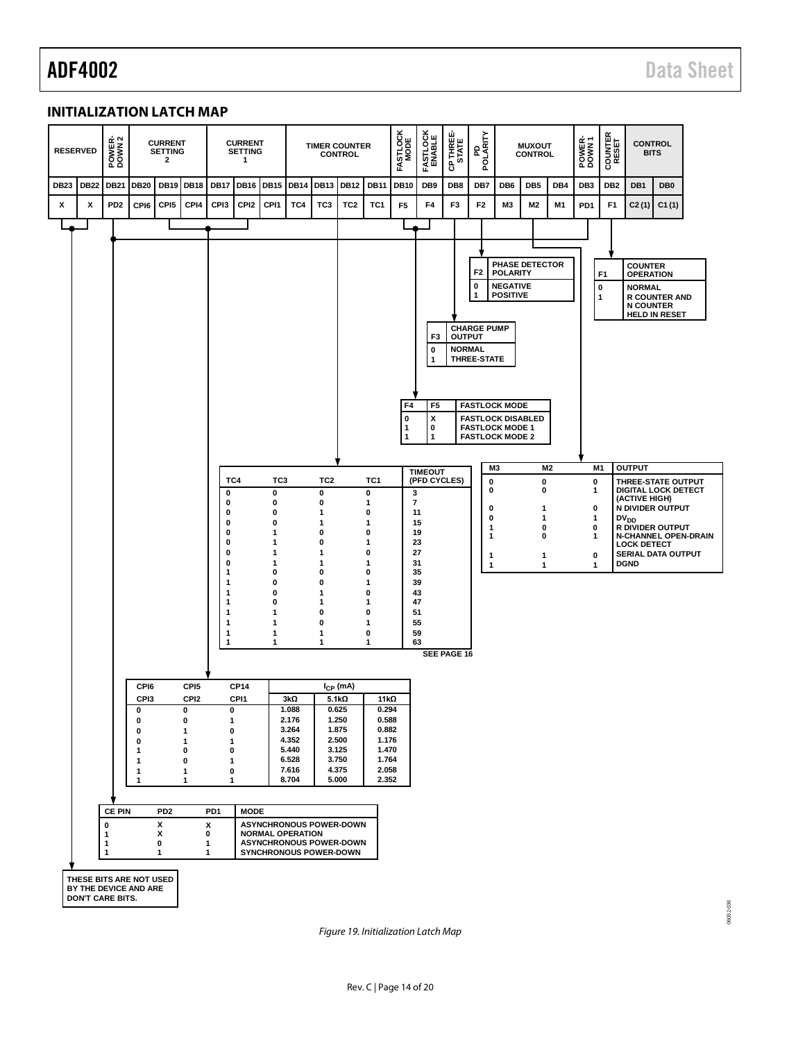06052-036

6052-036

## <span id="page-13-0"></span>**INITIALIZATION LATCH MAP**



*Figure 19. Initialization Latch Map*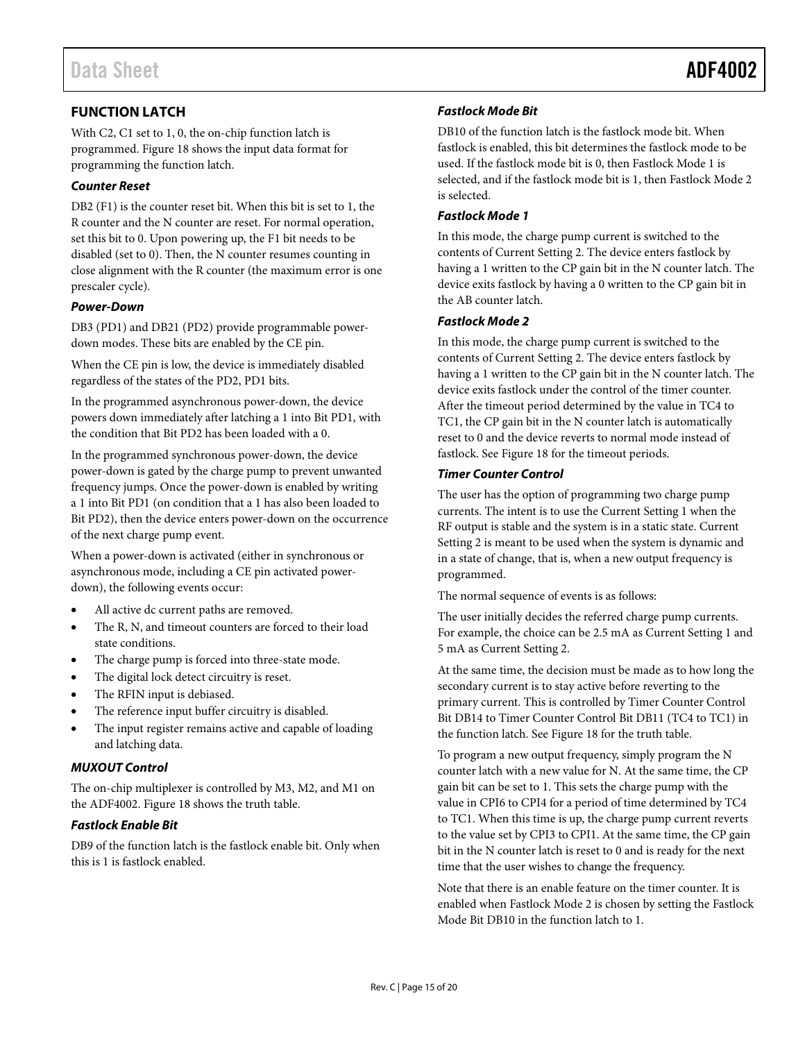# <span id="page-14-0"></span>**FUNCTION LATCH**

With C2, C1 set to 1, 0, the on-chip function latch is programmed. [Figure 18](#page-12-1) shows the input data format for programming the function latch.

### *Counter Reset*

DB2 (F1) is the counter reset bit. When this bit is set to 1, the R counter and the N counter are reset. For normal operation, set this bit to 0. Upon powering up, the F1 bit needs to be disabled (set to 0). Then, the N counter resumes counting in close alignment with the R counter (the maximum error is one prescaler cycle).

### *Power-Down*

DB3 (PD1) and DB21 (PD2) provide programmable powerdown modes. These bits are enabled by the CE pin.

When the CE pin is low, the device is immediately disabled regardless of the states of the PD2, PD1 bits.

In the programmed asynchronous power-down, the device powers down immediately after latching a 1 into Bit PD1, with the condition that Bit PD2 has been loaded with a 0.

In the programmed synchronous power-down, the device power-down is gated by the charge pump to prevent unwanted frequency jumps. Once the power-down is enabled by writing a 1 into Bit PD1 (on condition that a 1 has also been loaded to Bit PD2), then the device enters power-down on the occurrence of the next charge pump event.

When a power-down is activated (either in synchronous or asynchronous mode, including a CE pin activated powerdown), the following events occur:

- All active dc current paths are removed.
- The R, N, and timeout counters are forced to their load state conditions.
- The charge pump is forced into three-state mode.
- The digital lock detect circuitry is reset.
- The RFIN input is debiased.
- The reference input buffer circuitry is disabled.
- The input register remains active and capable of loading and latching data.

## *MUXOUT Control*

The on-chip multiplexer is controlled by M3, M2, and M1 on the ADF4002. [Figure 18](#page-12-1) shows the truth table.

#### *Fastlock Enable Bit*

DB9 of the function latch is the fastlock enable bit. Only when this is 1 is fastlock enabled.

#### *Fastlock Mode Bit*

DB10 of the function latch is the fastlock mode bit. When fastlock is enabled, this bit determines the fastlock mode to be used. If the fastlock mode bit is 0, then Fastlock Mode 1 is selected, and if the fastlock mode bit is 1, then Fastlock Mode 2 is selected.

#### *Fastlock Mode 1*

In this mode, the charge pump current is switched to the contents of Current Setting 2. The device enters fastlock by having a 1 written to the CP gain bit in the N counter latch. The device exits fastlock by having a 0 written to the CP gain bit in the AB counter latch.

#### *Fastlock Mode 2*

In this mode, the charge pump current is switched to the contents of Current Setting 2. The device enters fastlock by having a 1 written to the CP gain bit in the N counter latch. The device exits fastlock under the control of the timer counter. After the timeout period determined by the value in TC4 to TC1, the CP gain bit in the N counter latch is automatically reset to 0 and the device reverts to normal mode instead of fastlock. Se[e Figure 18](#page-12-1) for the timeout periods.

#### *Timer Counter Control*

The user has the option of programming two charge pump currents. The intent is to use the Current Setting 1 when the RF output is stable and the system is in a static state. Current Setting 2 is meant to be used when the system is dynamic and in a state of change, that is, when a new output frequency is programmed.

The normal sequence of events is as follows:

The user initially decides the referred charge pump currents. For example, the choice can be 2.5 mA as Current Setting 1 and 5 mA as Current Setting 2.

At the same time, the decision must be made as to how long the secondary current is to stay active before reverting to the primary current. This is controlled by Timer Counter Control Bit DB14 to Timer Counter Control Bit DB11 (TC4 to TC1) in the function latch. Se[e Figure 18](#page-12-1) for the truth table.

To program a new output frequency, simply program the N counter latch with a new value for N. At the same time, the CP gain bit can be set to 1. This sets the charge pump with the value in CPI6 to CPI4 for a period of time determined by TC4 to TC1. When this time is up, the charge pump current reverts to the value set by CPI3 to CPI1. At the same time, the CP gain bit in the N counter latch is reset to 0 and is ready for the next time that the user wishes to change the frequency.

Note that there is an enable feature on the timer counter. It is enabled when Fastlock Mode 2 is chosen by setting the Fastlock Mode Bit DB10 in the function latch to 1.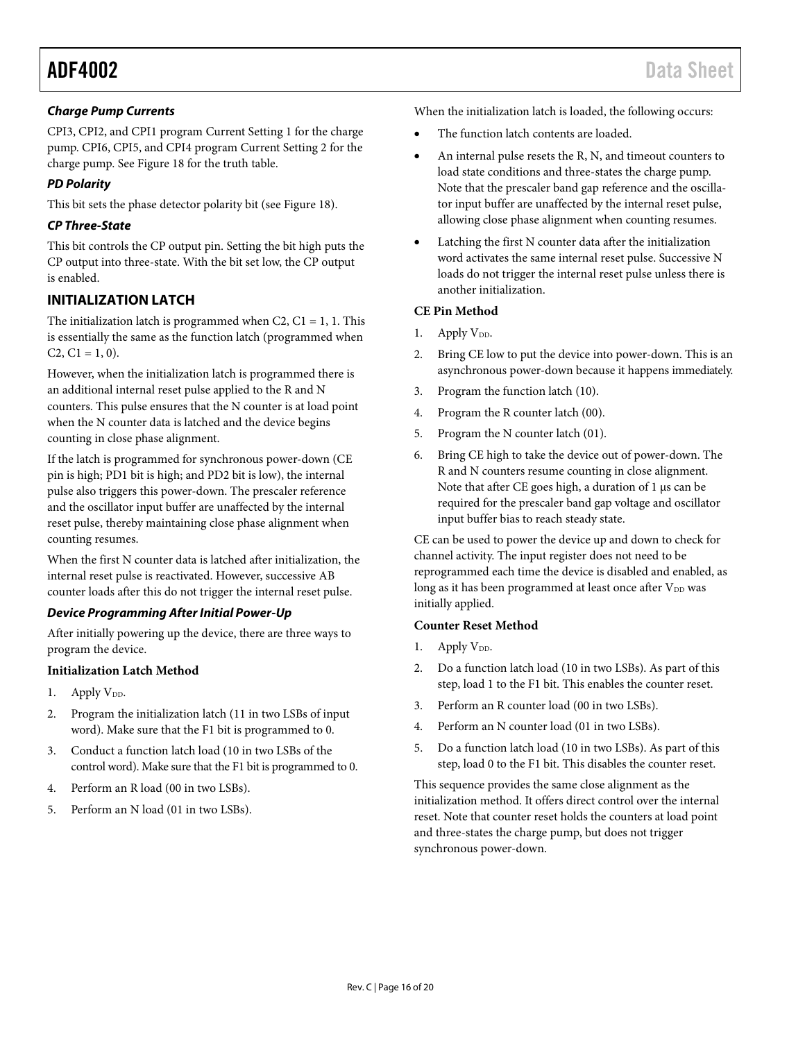### *Charge Pump Currents*

CPI3, CPI2, and CPI1 program Current Setting 1 for the charge pump. CPI6, CPI5, and CPI4 program Current Setting 2 for the charge pump. Se[e Figure 18](#page-12-1) for the truth table.

### *PD Polarity*

This bit sets the phase detector polarity bit (see [Figure 18\)](#page-12-1).

### *CP Three-State*

This bit controls the CP output pin. Setting the bit high puts the CP output into three-state. With the bit set low, the CP output is enabled.

# <span id="page-15-0"></span>**INITIALIZATION LATCH**

The initialization latch is programmed when  $C_2$ ,  $C_1 = 1$ , 1. This is essentially the same as the function latch (programmed when  $C2, C1 = 1, 0$ .

However, when the initialization latch is programmed there is an additional internal reset pulse applied to the R and N counters. This pulse ensures that the N counter is at load point when the N counter data is latched and the device begins counting in close phase alignment.

If the latch is programmed for synchronous power-down (CE pin is high; PD1 bit is high; and PD2 bit is low), the internal pulse also triggers this power-down. The prescaler reference and the oscillator input buffer are unaffected by the internal reset pulse, thereby maintaining close phase alignment when counting resumes.

When the first N counter data is latched after initialization, the internal reset pulse is reactivated. However, successive AB counter loads after this do not trigger the internal reset pulse.

#### *Device Programming After Initial Power-Up*

After initially powering up the device, there are three ways to program the device.

#### **Initialization Latch Method**

- 1. Apply  $V_{DD}$ .
- 2. Program the initialization latch (11 in two LSBs of input word). Make sure that the F1 bit is programmed to 0.
- 3. Conduct a function latch load (10 in two LSBs of the control word). Make sure that the F1 bit is programmed to 0.
- 4. Perform an R load (00 in two LSBs).
- 5. Perform an N load (01 in two LSBs).

When the initialization latch is loaded, the following occurs:

- The function latch contents are loaded.
- An internal pulse resets the R, N, and timeout counters to load state conditions and three-states the charge pump. Note that the prescaler band gap reference and the oscillator input buffer are unaffected by the internal reset pulse, allowing close phase alignment when counting resumes.
- Latching the first N counter data after the initialization word activates the same internal reset pulse. Successive N loads do not trigger the internal reset pulse unless there is another initialization.

#### **CE Pin Method**

- 1. Apply V<sub>DD</sub>.
- 2. Bring CE low to put the device into power-down. This is an asynchronous power-down because it happens immediately.
- 3. Program the function latch (10).
- 4. Program the R counter latch (00).
- 5. Program the N counter latch (01).
- 6. Bring CE high to take the device out of power-down. The R and N counters resume counting in close alignment. Note that after CE goes high, a duration of 1  $\mu$ s can be required for the prescaler band gap voltage and oscillator input buffer bias to reach steady state.

CE can be used to power the device up and down to check for channel activity. The input register does not need to be reprogrammed each time the device is disabled and enabled, as long as it has been programmed at least once after V<sub>DD</sub> was initially applied.

#### **Counter Reset Method**

- 1. Apply  $V_{DD}$ .
- 2. Do a function latch load (10 in two LSBs). As part of this step, load 1 to the F1 bit. This enables the counter reset.
- 3. Perform an R counter load (00 in two LSBs).
- 4. Perform an N counter load (01 in two LSBs).
- 5. Do a function latch load (10 in two LSBs). As part of this step, load 0 to the F1 bit. This disables the counter reset.

This sequence provides the same close alignment as the initialization method. It offers direct control over the internal reset. Note that counter reset holds the counters at load point and three-states the charge pump, but does not trigger synchronous power-down.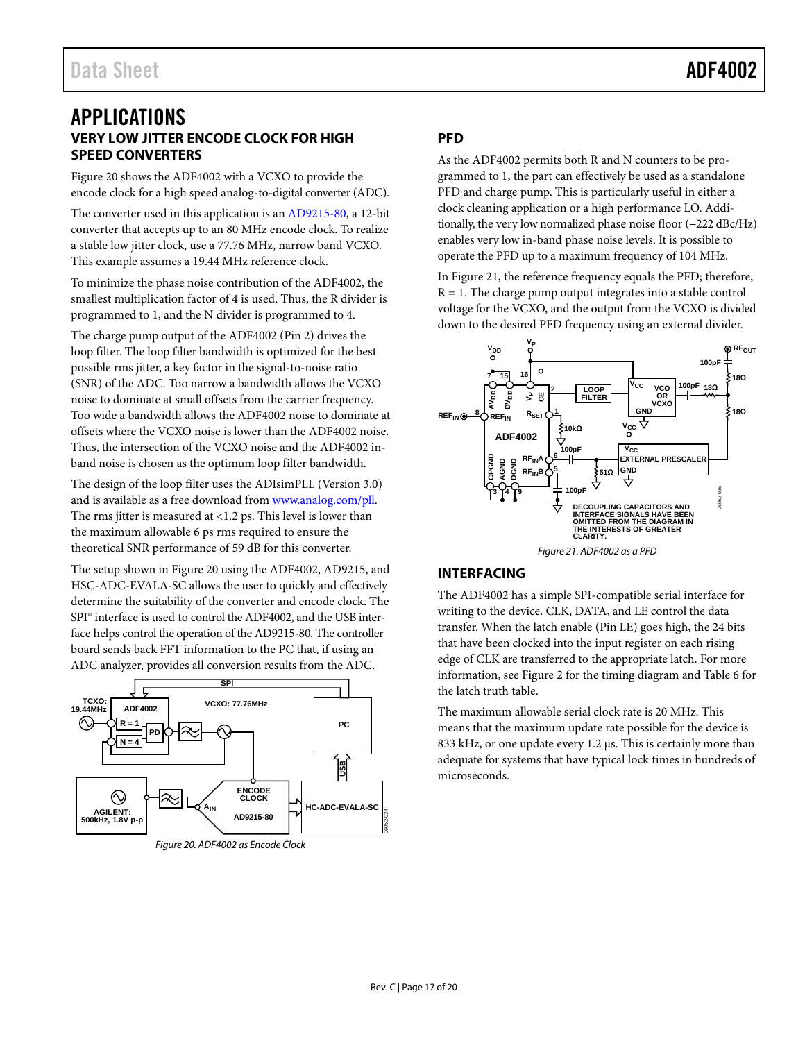# <span id="page-16-1"></span><span id="page-16-0"></span>APPLICATIONS **VERY LOW JITTER ENCODE CLOCK FOR HIGH SPEED CONVERTERS**

[Figure 20](#page-16-4) shows the ADF4002 with a VCXO to provide the encode clock for a high speed analog-to-digital converter (ADC).

The converter used in this application is an [AD9215-80,](http://www.analog.com/ad9215) a 12-bit converter that accepts up to an 80 MHz encode clock. To realize a stable low jitter clock, use a 77.76 MHz, narrow band VCXO. This example assumes a 19.44 MHz reference clock.

To minimize the phase noise contribution of the ADF4002, the smallest multiplication factor of 4 is used. Thus, the R divider is programmed to 1, and the N divider is programmed to 4.

The charge pump output of the ADF4002 (Pin 2) drives the loop filter. The loop filter bandwidth is optimized for the best possible rms jitter, a key factor in the signal-to-noise ratio (SNR) of the ADC. Too narrow a bandwidth allows the VCXO noise to dominate at small offsets from the carrier frequency. Too wide a bandwidth allows the ADF4002 noise to dominate at offsets where the VCXO noise is lower than the ADF4002 noise. Thus, the intersection of the VCXO noise and the ADF4002 inband noise is chosen as the optimum loop filter bandwidth.

The design of the loop filter uses the ADIsimPLL (Version 3.0) and is available as a free download fro[m www.analog.com/pll.](http://www.analog.com/pll) The rms jitter is measured at <1.2 ps. This level is lower than the maximum allowable 6 ps rms required to ensure the theoretical SNR performance of 59 dB for this converter.

The setup shown i[n Figure 20](#page-16-4) using the ADF4002, AD9215, and HSC-ADC-EVALA-SC allows the user to quickly and effectively determine the suitability of the converter and encode clock. The SPI® interface is used to control the ADF4002, and the USB interface helps control the operation of the AD9215-80. The controller board sends back FFT information to the PC that, if using an ADC analyzer, provides all conversion results from the ADC.

<span id="page-16-4"></span>

# <span id="page-16-2"></span>**PFD**

As the ADF4002 permits both R and N counters to be programmed to 1, the part can effectively be used as a standalone PFD and charge pump. This is particularly useful in either a clock cleaning application or a high performance LO. Additionally, the very low normalized phase noise floor (−222 dBc/Hz) enables very low in-band phase noise levels. It is possible to operate the PFD up to a maximum frequency of 104 MHz.

I[n Figure 21,](#page-16-5) the reference frequency equals the PFD; therefore,  $R = 1$ . The charge pump output integrates into a stable control voltage for the VCXO, and the output from the VCXO is divided down to the desired PFD frequency using an external divider.



# <span id="page-16-5"></span><span id="page-16-3"></span>**INTERFACING**

The ADF4002 has a simple SPI-compatible serial interface for writing to the device. CLK, DATA, and LE control the data transfer. When the latch enable (Pin LE) goes high, the 24 bits that have been clocked into the input register on each rising edge of CLK are transferred to the appropriate latch. For more information, see [Figure 2](#page-3-2) for the timing diagram an[d Table 6](#page-8-3) for the latch truth table.

The maximum allowable serial clock rate is 20 MHz. This means that the maximum update rate possible for the device is 833 kHz, or one update every 1.2 µs. This is certainly more than adequate for systems that have typical lock times in hundreds of microseconds.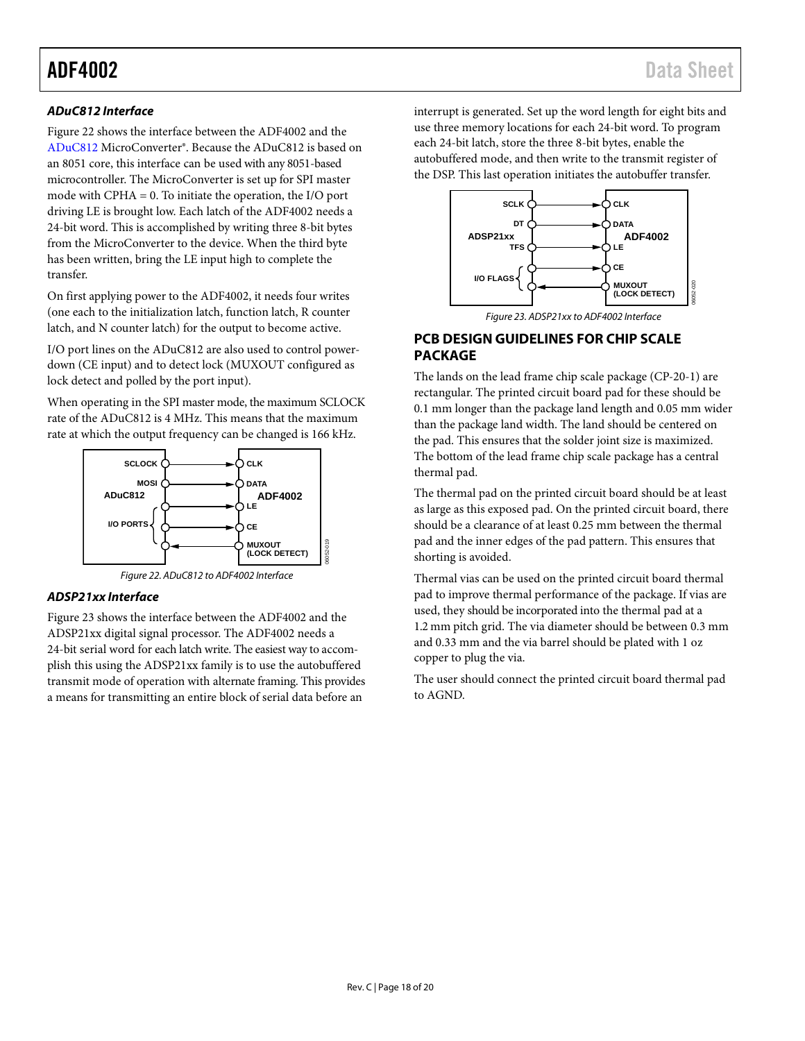## *ADuC812 Interface*

[Figure 22](#page-17-1) shows the interface between the ADF4002 and the [ADuC812](http://www.analog.com/aduc812) MicroConverter®. Because the ADuC812 is based on an 8051 core, this interface can be used with any 8051-based microcontroller. The MicroConverter is set up for SPI master mode with CPHA = 0. To initiate the operation, the I/O port driving LE is brought low. Each latch of the ADF4002 needs a 24-bit word. This is accomplished by writing three 8-bit bytes from the MicroConverter to the device. When the third byte has been written, bring the LE input high to complete the transfer.

On first applying power to the ADF4002, it needs four writes (one each to the initialization latch, function latch, R counter latch, and N counter latch) for the output to become active.

I/O port lines on the ADuC812 are also used to control powerdown (CE input) and to detect lock (MUXOUT configured as lock detect and polled by the port input).

When operating in the SPI master mode, the maximum SCLOCK rate of the ADuC812 is 4 MHz. This means that the maximum rate at which the output frequency can be changed is 166 kHz.





06052-019

#### <span id="page-17-1"></span>*ADSP21xx Interface*

[Figure 23](#page-17-2) shows the interface between the ADF4002 and the ADSP21xx digital signal processor. The ADF4002 needs a 24-bit serial word for each latch write. The easiest way to accomplish this using the ADSP21xx family is to use the autobuffered transmit mode of operation with alternate framing. This provides a means for transmitting an entire block of serial data before an

interrupt is generated. Set up the word length for eight bits and use three memory locations for each 24-bit word. To program each 24-bit latch, store the three 8-bit bytes, enable the autobuffered mode, and then write to the transmit register of the DSP. This last operation initiates the autobuffer transfer.





# <span id="page-17-2"></span><span id="page-17-0"></span>**PCB DESIGN GUIDELINES FOR CHIP SCALE PACKAGE**

The lands on the lead frame chip scale package (CP-20-1) are rectangular. The printed circuit board pad for these should be 0.1 mm longer than the package land length and 0.05 mm wider than the package land width. The land should be centered on the pad. This ensures that the solder joint size is maximized. The bottom of the lead frame chip scale package has a central thermal pad.

The thermal pad on the printed circuit board should be at least as large as this exposed pad. On the printed circuit board, there should be a clearance of at least 0.25 mm between the thermal pad and the inner edges of the pad pattern. This ensures that shorting is avoided.

Thermal vias can be used on the printed circuit board thermal pad to improve thermal performance of the package. If vias are used, they should be incorporated into the thermal pad at a 1.2 mm pitch grid. The via diameter should be between 0.3 mm and 0.33 mm and the via barrel should be plated with 1 oz copper to plug the via.

The user should connect the printed circuit board thermal pad to AGND.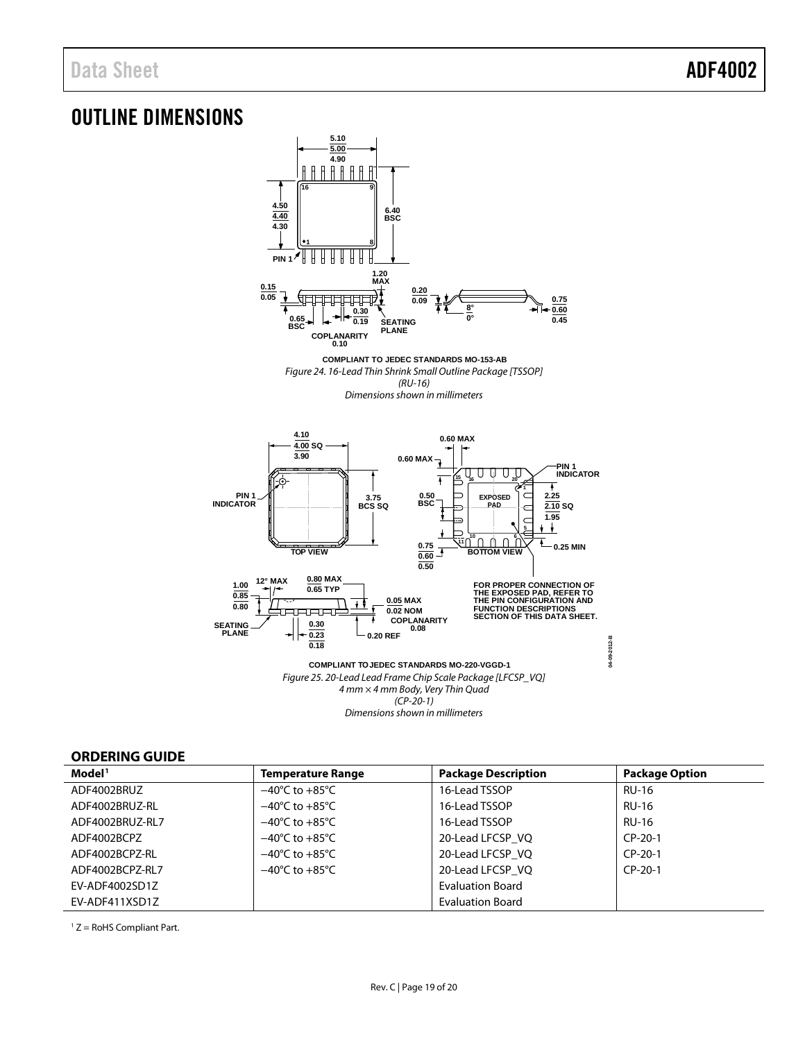# <span id="page-18-0"></span>OUTLINE DIMENSIONS



*(CP-20-1) Dimensions shown in millimeters*

### <span id="page-18-1"></span>**ORDERING GUIDE**

| Model <sup>1</sup> | <b>Temperature Range</b>           | <b>Package Description</b> | <b>Package Option</b> |
|--------------------|------------------------------------|----------------------------|-----------------------|
| ADF4002BRUZ        | $-40^{\circ}$ C to $+85^{\circ}$ C | 16-Lead TSSOP              | <b>RU-16</b>          |
| ADF4002BRUZ-RL     | $-40^{\circ}$ C to $+85^{\circ}$ C | 16-Lead TSSOP              | <b>RU-16</b>          |
| ADF4002BRUZ-RL7    | $-40^{\circ}$ C to $+85^{\circ}$ C | 16-Lead TSSOP              | <b>RU-16</b>          |
| ADF4002BCPZ        | $-40^{\circ}$ C to $+85^{\circ}$ C | 20-Lead LFCSP VQ           | $CP-20-1$             |
| ADF4002BCPZ-RL     | $-40^{\circ}$ C to $+85^{\circ}$ C | 20-Lead LFCSP VQ           | $CP-20-1$             |
| ADF4002BCPZ-RL7    | $-40^{\circ}$ C to $+85^{\circ}$ C | 20-Lead LFCSP VQ           | $CP-20-1$             |
| EV-ADF4002SD1Z     |                                    | <b>Evaluation Board</b>    |                       |
| EV-ADF411XSD1Z     |                                    | <b>Evaluation Board</b>    |                       |

<span id="page-18-2"></span> $1 Z =$  RoHS Compliant Part.